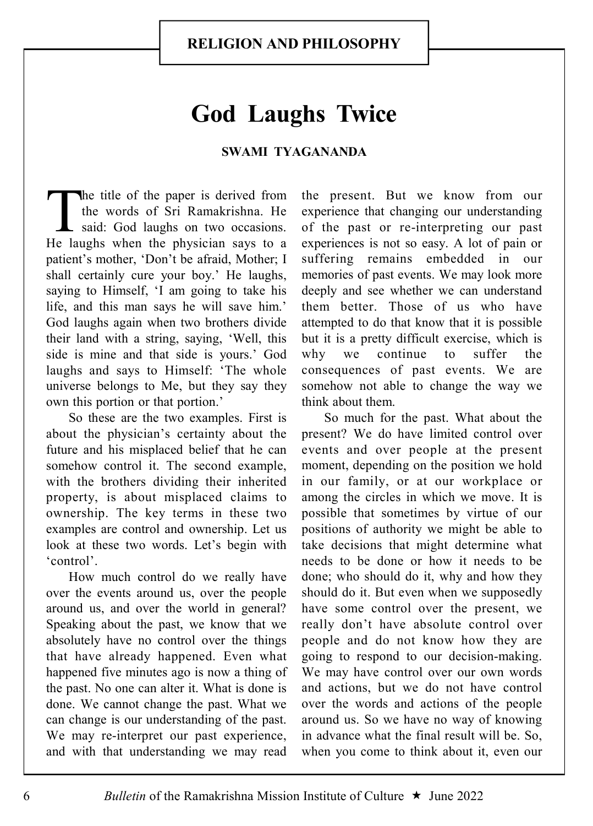## God Laughs Twice

## SWAMI TYAGANANDA

The title of the paper is derived from<br>the words of Sri Ramakrishna. He<br>said: God laughs on two occasions.<br>He laughs when the physician says to a The title of the paper is derived from the words of Sri Ramakrishna. He said: God laughs on two occasions. patient's mother, 'Don't be afraid, Mother; I shall certainly cure your boy.' He laughs, saying to Himself, 'I am going to take his life, and this man says he will save him.' God laughs again when two brothers divide their land with a string, saying, 'Well, this side is mine and that side is yours.' God laughs and says to Himself: 'The whole universe belongs to Me, but they say they own this portion or that portion.'

So these are the two examples. First is about the physician's certainty about the future and his misplaced belief that he can somehow control it. The second example, with the brothers dividing their inherited property, is about misplaced claims to ownership. The key terms in these two examples are control and ownership. Let us look at these two words. Let's begin with 'control'.

How much control do we really have over the events around us, over the people around us, and over the world in general? Speaking about the past, we know that we absolutely have no control over the things that have already happened. Even what happened five minutes ago is now a thing of the past. No one can alter it. What is done is done. We cannot change the past. What we can change is our understanding of the past. We may re-interpret our past experience, and with that understanding we may read

the present. But we know from our experience that changing our understanding of the past or re-interpreting our past experiences is not so easy. A lot of pain or suffering remains embedded in our memories of past events. We may look more deeply and see whether we can understand them better. Those of us who have attempted to do that know that it is possible but it is a pretty difficult exercise, which is why we continue to suffer the consequences of past events. We are somehow not able to change the way we think about them.

So much for the past. What about the present? We do have limited control over events and over people at the present moment, depending on the position we hold in our family, or at our workplace or among the circles in which we move. It is possible that sometimes by virtue of our positions of authority we might be able to take decisions that might determine what needs to be done or how it needs to be done; who should do it, why and how they should do it. But even when we supposedly have some control over the present, we really don't have absolute control over people and do not know how they are going to respond to our decision-making. We may have control over our own words and actions, but we do not have control over the words and actions of the people around us. So we have no way of knowing in advance what the final result will be. So, when you come to think about it, even our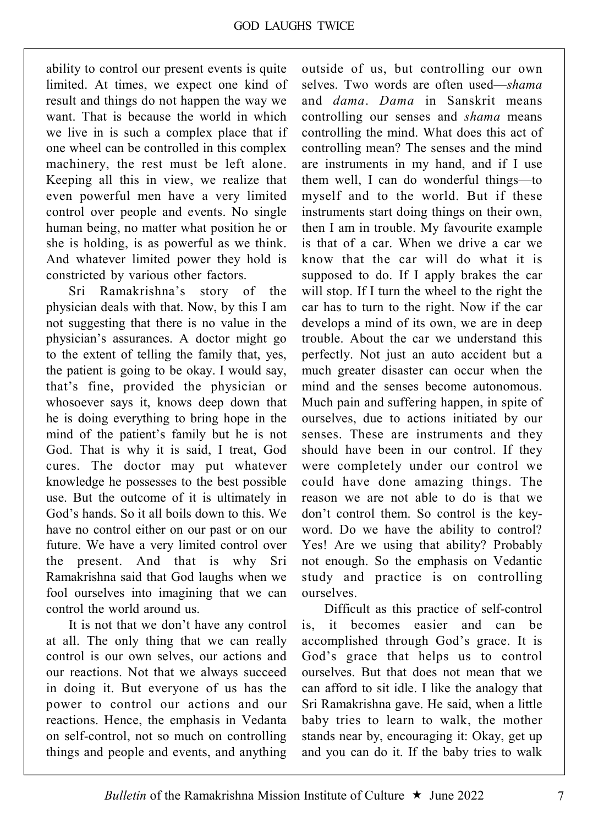ability to control our present events is quite limited. At times, we expect one kind of result and things do not happen the way we want. That is because the world in which we live in is such a complex place that if one wheel can be controlled in this complex machinery, the rest must be left alone. Keeping all this in view, we realize that even powerful men have a very limited control over people and events. No single human being, no matter what position he or she is holding, is as powerful as we think. And whatever limited power they hold is constricted by various other factors.

Sri Ramakrishna's story of the physician deals with that. Now, by this I am not suggesting that there is no value in the physician's assurances. A doctor might go to the extent of telling the family that, yes, the patient is going to be okay. I would say, that's fine, provided the physician or whosoever says it, knows deep down that he is doing everything to bring hope in the mind of the patient's family but he is not God. That is why it is said, I treat, God cures. The doctor may put whatever knowledge he possesses to the best possible use. But the outcome of it is ultimately in God's hands. So it all boils down to this. We have no control either on our past or on our future. We have a very limited control over the present. And that is why Sri Ramakrishna said that God laughs when we fool ourselves into imagining that we can control the world around us.

It is not that we don't have any control at all. The only thing that we can really control is our own selves, our actions and our reactions. Not that we always succeed in doing it. But everyone of us has the power to control our actions and our reactions. Hence, the emphasis in Vedanta on self-control, not so much on controlling things and people and events, and anything outside of us, but controlling our own selves. Two words are often used—shama and dama. Dama in Sanskrit means controlling our senses and shama means controlling the mind. What does this act of controlling mean? The senses and the mind are instruments in my hand, and if I use them well, I can do wonderful things—to myself and to the world. But if these instruments start doing things on their own, then I am in trouble. My favourite example is that of a car. When we drive a car we know that the car will do what it is supposed to do. If I apply brakes the car will stop. If I turn the wheel to the right the car has to turn to the right. Now if the car develops a mind of its own, we are in deep trouble. About the car we understand this perfectly. Not just an auto accident but a much greater disaster can occur when the mind and the senses become autonomous. Much pain and suffering happen, in spite of ourselves, due to actions initiated by our senses. These are instruments and they should have been in our control. If they were completely under our control we could have done amazing things. The reason we are not able to do is that we don't control them. So control is the keyword. Do we have the ability to control? Yes! Are we using that ability? Probably not enough. So the emphasis on Vedantic study and practice is on controlling ourselves.

Difficult as this practice of self-control is, it becomes easier and can be accomplished through God's grace. It is God's grace that helps us to control ourselves. But that does not mean that we can afford to sit idle. I like the analogy that Sri Ramakrishna gave. He said, when a little baby tries to learn to walk, the mother stands near by, encouraging it: Okay, get up and you can do it. If the baby tries to walk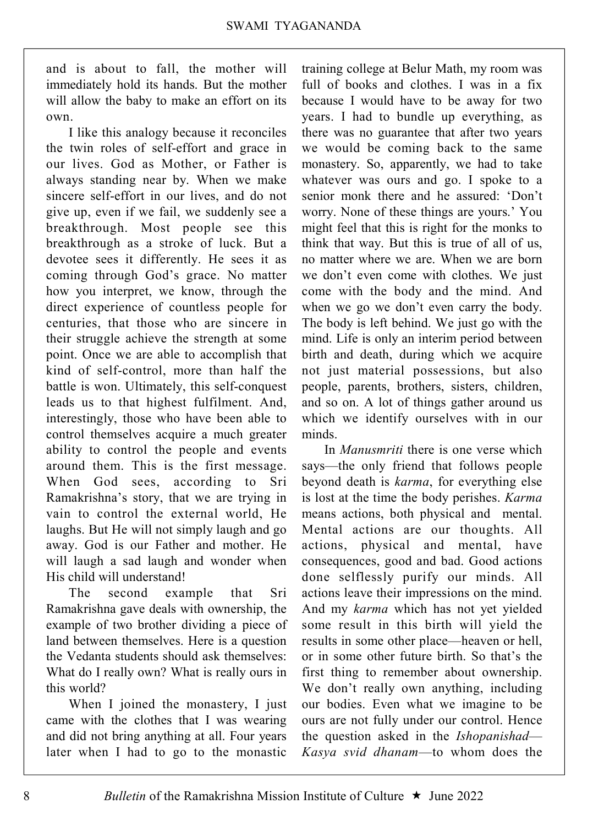and is about to fall, the mother will immediately hold its hands. But the mother will allow the baby to make an effort on its own.

I like this analogy because it reconciles the twin roles of self-effort and grace in our lives. God as Mother, or Father is always standing near by. When we make sincere self-effort in our lives, and do not give up, even if we fail, we suddenly see a breakthrough. Most people see this breakthrough as a stroke of luck. But a devotee sees it differently. He sees it as coming through God's grace. No matter how you interpret, we know, through the direct experience of countless people for centuries, that those who are sincere in their struggle achieve the strength at some point. Once we are able to accomplish that kind of self-control, more than half the battle is won. Ultimately, this self-conquest leads us to that highest fulfilment. And, interestingly, those who have been able to control themselves acquire a much greater ability to control the people and events around them. This is the first message. When God sees, according to Sri Ramakrishna's story, that we are trying in vain to control the external world, He laughs. But He will not simply laugh and go away. God is our Father and mother. He will laugh a sad laugh and wonder when His child will understand!

The second example that Sri Ramakrishna gave deals with ownership, the example of two brother dividing a piece of land between themselves. Here is a question the Vedanta students should ask themselves: What do I really own? What is really ours in this world?

When I joined the monastery, I just came with the clothes that I was wearing and did not bring anything at all. Four years later when I had to go to the monastic

training college at Belur Math, my room was full of books and clothes. I was in a fix because I would have to be away for two years. I had to bundle up everything, as there was no guarantee that after two years we would be coming back to the same monastery. So, apparently, we had to take whatever was ours and go. I spoke to a senior monk there and he assured: 'Don't worry. None of these things are yours.' You might feel that this is right for the monks to think that way. But this is true of all of us, no matter where we are. When we are born we don't even come with clothes. We just come with the body and the mind. And when we go we don't even carry the body. The body is left behind. We just go with the mind. Life is only an interim period between birth and death, during which we acquire not just material possessions, but also people, parents, brothers, sisters, children, and so on. A lot of things gather around us which we identify ourselves with in our minds.

In *Manusmriti* there is one verse which says—the only friend that follows people beyond death is karma, for everything else is lost at the time the body perishes. Karma means actions, both physical and mental. Mental actions are our thoughts. All actions, physical and mental, have consequences, good and bad. Good actions done selflessly purify our minds. All actions leave their impressions on the mind. And my karma which has not yet yielded some result in this birth will yield the results in some other place—heaven or hell, or in some other future birth. So that's the first thing to remember about ownership. We don't really own anything, including our bodies. Even what we imagine to be ours are not fully under our control. Hence the question asked in the Ishopanishad— Kasya svid dhanam—to whom does the